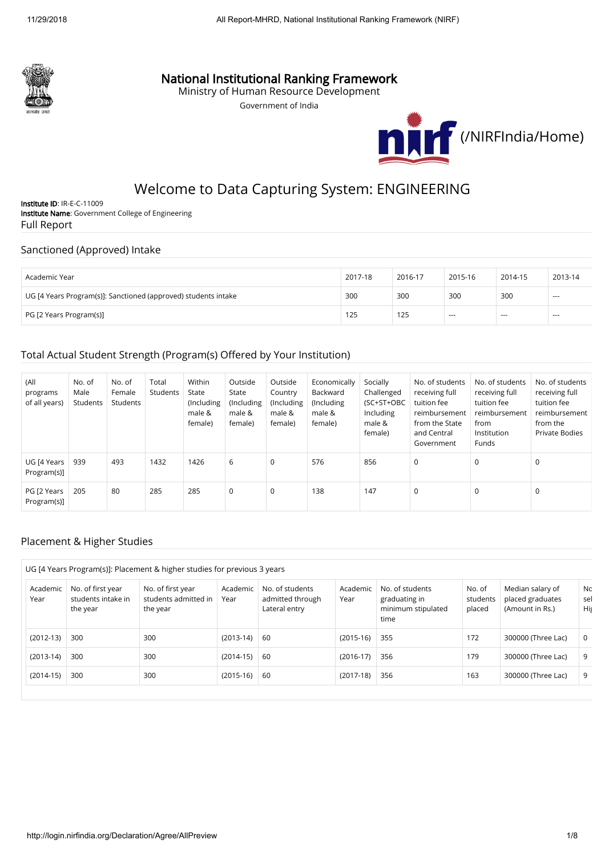

## National Institutional Ranking Framework

Ministry of Human Resource Development

Government of India



# Welcome to Data Capturing System: ENGINEERING

Institute ID: IR-E-C-11009 Institute Name: Government College of Engineering Full Report

#### Sanctioned (Approved) Intake

| Academic Year                                                  | 2017-18 | 2016-17 | 2015-16 | 2014-15 | 2013-14 |
|----------------------------------------------------------------|---------|---------|---------|---------|---------|
| UG [4 Years Program(s)]: Sanctioned (approved) students intake | 300     | 300     | 300     | 300     | $- - -$ |
| PG [2 Years Program(s)]                                        | 125     | 125     | $- - -$ | $---$   | $- - -$ |

### Total Actual Student Strength (Program(s) Offered by Your Institution)

| (All<br>programs<br>of all years) | No. of<br>Male<br>Students | No. of<br>Female<br>Students | Total<br>Students | Within<br>State<br>(Including<br>male &<br>female) | Outside<br>State<br>(Including<br>male &<br>female) | Outside<br>Country<br>(Including)<br>male &<br>female) | Economically<br>Backward<br>(Including<br>male &<br>female) | Socially<br>Challenged<br>(SC+ST+OBC<br>Including<br>male &<br>female) | No. of students<br>receiving full<br>tuition fee<br>reimbursement<br>from the State<br>and Central<br>Government | No. of students<br>receiving full<br>tuition fee<br>reimbursement<br>from<br>Institution<br><b>Funds</b> | No. of students<br>receiving full<br>tuition fee<br>reimbursement<br>from the<br><b>Private Bodies</b> |
|-----------------------------------|----------------------------|------------------------------|-------------------|----------------------------------------------------|-----------------------------------------------------|--------------------------------------------------------|-------------------------------------------------------------|------------------------------------------------------------------------|------------------------------------------------------------------------------------------------------------------|----------------------------------------------------------------------------------------------------------|--------------------------------------------------------------------------------------------------------|
| UG [4 Years<br>Program(s)]        | 939                        | 493                          | 1432              | 1426                                               | 6                                                   | 0                                                      | 576                                                         | 856                                                                    | $\mathbf 0$                                                                                                      | $\mathbf 0$                                                                                              | $\mathbf 0$                                                                                            |
| PG [2 Years<br>Program(s)]        | 205                        | 80                           | 285               | 285                                                | $\mathbf 0$                                         | 0                                                      | 138                                                         | 147                                                                    | 0                                                                                                                | $\mathbf 0$                                                                                              | 0                                                                                                      |

### Placement & Higher Studies

|                  |                                                                                                                                  | UG [4 Years Program(s)]: Placement & higher studies for previous 3 years |                                                                          |    |                                                                |                              |                                                         |                    |          |
|------------------|----------------------------------------------------------------------------------------------------------------------------------|--------------------------------------------------------------------------|--------------------------------------------------------------------------|----|----------------------------------------------------------------|------------------------------|---------------------------------------------------------|--------------------|----------|
| Academic<br>Year | No. of first year<br>No. of first year<br>Academic<br>students intake in<br>students admitted in<br>Year<br>the year<br>the year |                                                                          | No. of students<br>Academic<br>admitted through<br>Year<br>Lateral entry |    | No. of students<br>graduating in<br>minimum stipulated<br>time | No. of<br>students<br>placed | Median salary of<br>placed graduates<br>(Amount in Rs.) | Nc.<br>sel<br>His  |          |
| $(2012-13)$      | 300                                                                                                                              | 300                                                                      | $(2013-14)$                                                              | 60 | $(2015-16)$                                                    | 355                          | 172                                                     | 300000 (Three Lac) | $\Omega$ |
| $(2013-14)$      | 300                                                                                                                              | 300                                                                      | $(2014-15)$                                                              | 60 | $(2016-17)$                                                    | 356                          | 179                                                     | 300000 (Three Lac) | 9        |
| $(2014-15)$      | 300                                                                                                                              | 300                                                                      | $(2015-16)$                                                              | 60 | $(2017-18)$                                                    | 356                          | 163                                                     | 300000 (Three Lac) | 9        |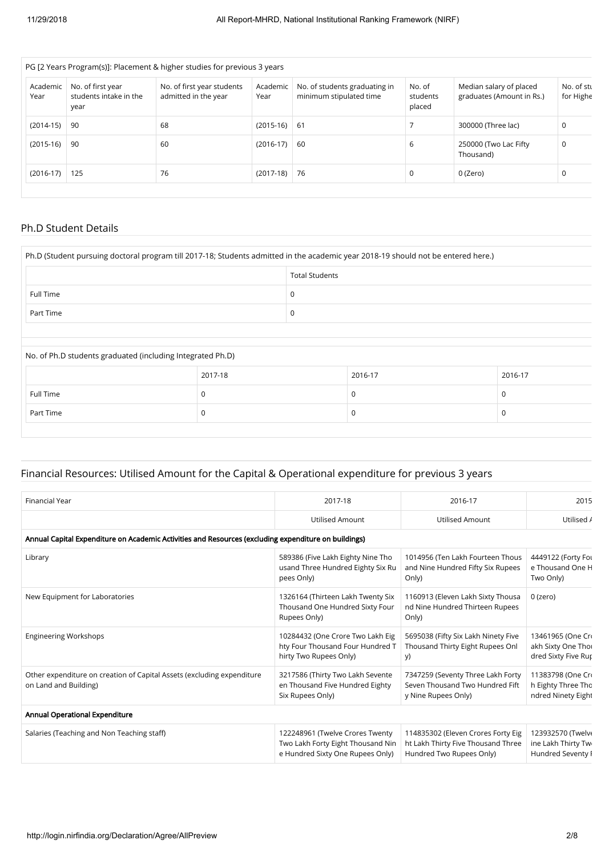|                  |                                                     | PG [2 Years Program(s)]: Placement & higher studies for previous 3 years |                  |                                                          |                              |                                                      |                         |
|------------------|-----------------------------------------------------|--------------------------------------------------------------------------|------------------|----------------------------------------------------------|------------------------------|------------------------------------------------------|-------------------------|
| Academic<br>Year | No. of first year<br>students intake in the<br>year | No. of first year students<br>admitted in the year                       | Academic<br>Year | No. of students graduating in<br>minimum stipulated time | No. of<br>students<br>placed | Median salary of placed<br>graduates (Amount in Rs.) | No. of stu<br>for Highe |
| $(2014-15)$      | -90                                                 | 68                                                                       | $(2015-16)$ 61   |                                                          |                              | 300000 (Three lac)                                   | 0                       |
| $(2015-16)$      | -90                                                 | 60                                                                       | $(2016-17)$      | 60                                                       | 6                            | 250000 (Two Lac Fifty<br>Thousand)                   | $\mathbf 0$             |
| $(2016-17)$      | 125                                                 | 76                                                                       | $(2017-18)$      | 76                                                       | 0                            | 0 (Zero)                                             | 0                       |

#### Ph.D Student Details

|                                                            | Ph.D (Student pursuing doctoral program till 2017-18; Students admitted in the academic year 2018-19 should not be entered here.) |                       |         |  |          |
|------------------------------------------------------------|-----------------------------------------------------------------------------------------------------------------------------------|-----------------------|---------|--|----------|
|                                                            |                                                                                                                                   | <b>Total Students</b> |         |  |          |
| Full Time                                                  |                                                                                                                                   | 0                     |         |  |          |
| Part Time                                                  |                                                                                                                                   | 0                     |         |  |          |
|                                                            |                                                                                                                                   |                       |         |  |          |
|                                                            |                                                                                                                                   |                       |         |  |          |
| No. of Ph.D students graduated (including Integrated Ph.D) |                                                                                                                                   |                       |         |  |          |
|                                                            | 2017-18                                                                                                                           |                       | 2016-17 |  | 2016-17  |
| Full Time                                                  | 0                                                                                                                                 |                       | 0       |  |          |
| Part Time                                                  | 0                                                                                                                                 |                       | 0       |  | $\Omega$ |
|                                                            |                                                                                                                                   |                       |         |  |          |

## Financial Resources: Utilised Amount for the Capital & Operational expenditure for previous 3 years

| <b>Financial Year</b>                                                                                | 2017-18                                                                                                  | 2016-17                                                                                              | 2015                                                           |
|------------------------------------------------------------------------------------------------------|----------------------------------------------------------------------------------------------------------|------------------------------------------------------------------------------------------------------|----------------------------------------------------------------|
|                                                                                                      | <b>Utilised Amount</b>                                                                                   | <b>Utilised Amount</b>                                                                               | Utilised /                                                     |
| Annual Capital Expenditure on Academic Activities and Resources (excluding expenditure on buildings) |                                                                                                          |                                                                                                      |                                                                |
| Library                                                                                              | 589386 (Five Lakh Eighty Nine Tho<br>usand Three Hundred Eighty Six Ru<br>pees Only)                     | 1014956 (Ten Lakh Fourteen Thous<br>and Nine Hundred Fifty Six Rupees<br>Only)                       | 4449122 (Forty For<br>e Thousand One H<br>Two Only)            |
| New Equipment for Laboratories                                                                       | 1326164 (Thirteen Lakh Twenty Six<br>Thousand One Hundred Sixty Four<br>Rupees Only)                     | 1160913 (Eleven Lakh Sixty Thousa<br>nd Nine Hundred Thirteen Rupees<br>Only)                        | 0 (zero)                                                       |
| <b>Engineering Workshops</b>                                                                         | 10284432 (One Crore Two Lakh Eig<br>hty Four Thousand Four Hundred T<br>hirty Two Rupees Only)           | 5695038 (Fifty Six Lakh Ninety Five<br>Thousand Thirty Eight Rupees Onl<br>y)                        | 13461965 (One Cro<br>akh Sixty One Thoi<br>dred Sixty Five Rup |
| Other expenditure on creation of Capital Assets (excluding expenditure<br>on Land and Building)      | 3217586 (Thirty Two Lakh Sevente<br>en Thousand Five Hundred Eighty<br>Six Rupees Only)                  | 7347259 (Seventy Three Lakh Forty<br>Seven Thousand Two Hundred Fift<br>y Nine Rupees Only)          | 11383798 (One Cro<br>h Eighty Three Tho<br>ndred Ninety Eight  |
| Annual Operational Expenditure                                                                       |                                                                                                          |                                                                                                      |                                                                |
| Salaries (Teaching and Non Teaching staff)                                                           | 122248961 (Twelve Crores Twenty<br>Two Lakh Forty Eight Thousand Nin<br>e Hundred Sixty One Rupees Only) | 114835302 (Eleven Crores Forty Eig<br>ht Lakh Thirty Five Thousand Three<br>Hundred Two Rupees Only) | 123932570 (Twelve<br>ine Lakh Thirty Tw<br>Hundred Seventy I   |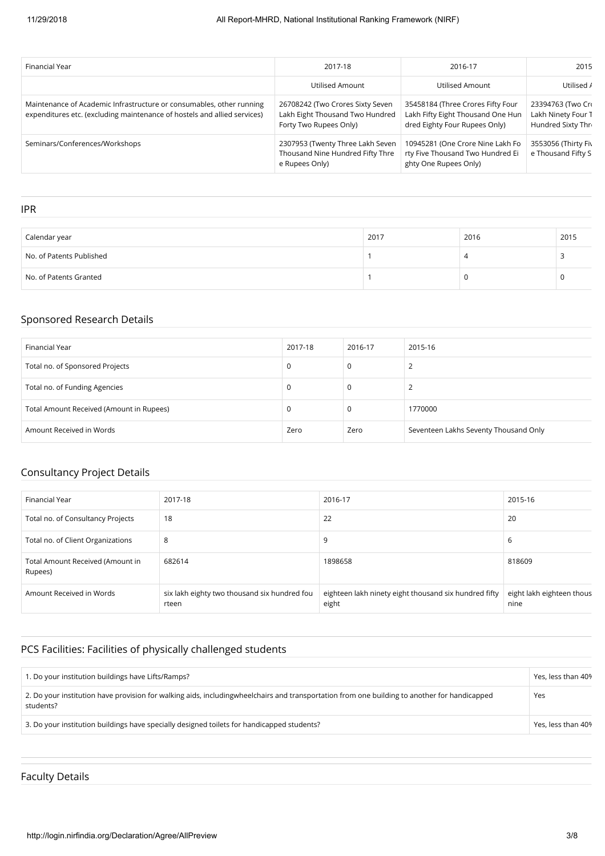| Financial Year                                                                                                                                   | 2017-18                                                                                       | 2016-17                                                                                                 | 2015                                                          |
|--------------------------------------------------------------------------------------------------------------------------------------------------|-----------------------------------------------------------------------------------------------|---------------------------------------------------------------------------------------------------------|---------------------------------------------------------------|
|                                                                                                                                                  | Utilised Amount                                                                               | <b>Utilised Amount</b>                                                                                  | Utilised /                                                    |
| Maintenance of Academic Infrastructure or consumables, other running<br>expenditures etc. (excluding maintenance of hostels and allied services) | 26708242 (Two Crores Sixty Seven<br>Lakh Eight Thousand Two Hundred<br>Forty Two Rupees Only) | 35458184 (Three Crores Fifty Four<br>Lakh Fifty Eight Thousand One Hun<br>dred Eighty Four Rupees Only) | 23394763 (Two Cro<br>Lakh Ninety Four T<br>Hundred Sixty Thre |
| Seminars/Conferences/Workshops                                                                                                                   | 2307953 (Twenty Three Lakh Seven<br>Thousand Nine Hundred Fifty Thre<br>e Rupees Only)        | 10945281 (One Crore Nine Lakh Fo<br>rty Five Thousand Two Hundred Ei<br>ghty One Rupees Only)           | 3553056 (Thirty Fiv.<br>e Thousand Fifty S                    |

IPR

| $\cdots$                 |      |      |      |
|--------------------------|------|------|------|
|                          |      |      |      |
| Calendar year            | 2017 | 2016 | 2015 |
| No. of Patents Published |      | ∼    |      |
| No. of Patents Granted   |      |      |      |

#### Sponsored Research Details

| Financial Year                           | 2017-18 | 2016-17 | 2015-16                               |
|------------------------------------------|---------|---------|---------------------------------------|
| Total no. of Sponsored Projects          | 0       | 0       |                                       |
| Total no. of Funding Agencies            | 0       | 0       |                                       |
| Total Amount Received (Amount in Rupees) | 0       | 0       | 1770000                               |
| Amount Received in Words                 | Zero    | Zero    | Seventeen Lakhs Seventy Thousand Only |

## Consultancy Project Details

| Financial Year                              | 2017-18                                               | 2016-17                                                        | 2015-16                           |
|---------------------------------------------|-------------------------------------------------------|----------------------------------------------------------------|-----------------------------------|
| Total no. of Consultancy Projects           | 18                                                    | 22                                                             | 20                                |
| Total no. of Client Organizations           | 8                                                     | 9                                                              | b                                 |
| Total Amount Received (Amount in<br>Rupees) | 682614                                                | 1898658                                                        | 818609                            |
| Amount Received in Words                    | six lakh eighty two thousand six hundred fou<br>rteen | eighteen lakh ninety eight thousand six hundred fifty<br>eight | eight lakh eighteen thous<br>nine |

## PCS Facilities: Facilities of physically challenged students

| 1. Do your institution buildings have Lifts/Ramps?                                                                                                          | Yes, less than 40% |
|-------------------------------------------------------------------------------------------------------------------------------------------------------------|--------------------|
| 2. Do your institution have provision for walking aids, including wheel chairs and transportation from one building to another for handicapped<br>students? | Yes                |
| 3. Do your institution buildings have specially designed toilets for handicapped students?                                                                  | Yes, less than 40% |

## Faculty Details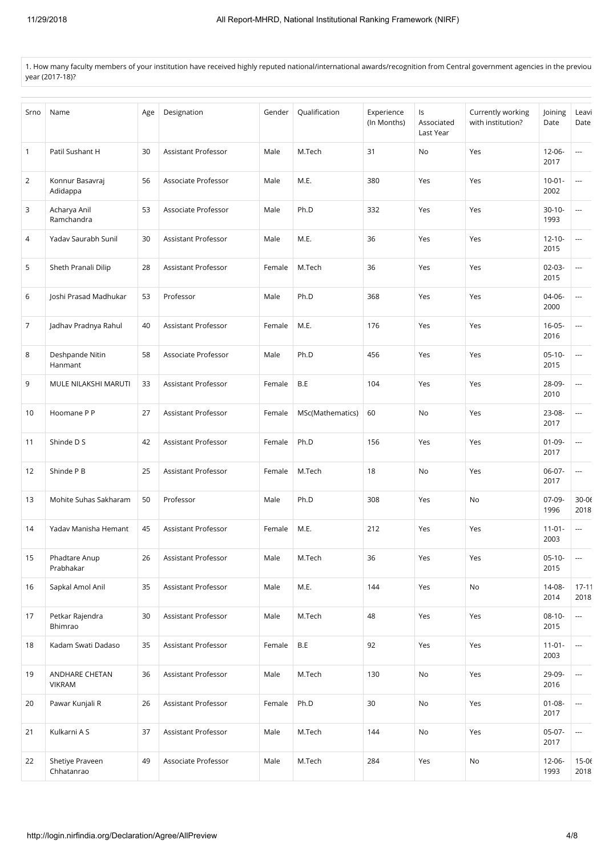1. How many faculty members of your institution have received highly reputed national/international awards/recognition from Central government agencies in the previou year (2017-18)?

| Srno         | Name                            | Age | Designation         | Gender | Qualification    | Experience<br>(In Months) | ls<br>Associated<br>Last Year | Currently working<br>with institution? | Joining<br>Date     | Leavi<br>Date            |
|--------------|---------------------------------|-----|---------------------|--------|------------------|---------------------------|-------------------------------|----------------------------------------|---------------------|--------------------------|
| $\mathbf{1}$ | Patil Sushant H                 | 30  | Assistant Professor | Male   | M.Tech           | 31                        | No                            | Yes                                    | $12 - 06 -$<br>2017 | ---                      |
| 2            | Konnur Basavraj<br>Adidappa     | 56  | Associate Professor | Male   | M.E.             | 380                       | Yes                           | Yes                                    | $10 - 01 -$<br>2002 | ---                      |
| 3            | Acharya Anil<br>Ramchandra      | 53  | Associate Professor | Male   | Ph.D             | 332                       | Yes                           | Yes                                    | $30-10-$<br>1993    | ---                      |
| 4            | Yadav Saurabh Sunil             | 30  | Assistant Professor | Male   | M.E.             | 36                        | Yes                           | Yes                                    | $12 - 10 -$<br>2015 | ---                      |
| 5            | Sheth Pranali Dilip             | 28  | Assistant Professor | Female | M.Tech           | 36                        | Yes                           | Yes                                    | $02-03-$<br>2015    | ---                      |
| 6            | Joshi Prasad Madhukar           | 53  | Professor           | Male   | Ph.D             | 368                       | Yes                           | Yes                                    | 04-06-<br>2000      | ---                      |
| 7            | Jadhav Pradnya Rahul            | 40  | Assistant Professor | Female | M.E.             | 176                       | Yes                           | Yes                                    | $16 - 05 -$<br>2016 | ---                      |
| 8            | Deshpande Nitin<br>Hanmant      | 58  | Associate Professor | Male   | Ph.D             | 456                       | Yes                           | Yes                                    | $05-10-$<br>2015    | ---                      |
| 9            | MULE NILAKSHI MARUTI            | 33  | Assistant Professor | Female | B.E              | 104                       | Yes                           | Yes                                    | 28-09-<br>2010      | ---                      |
| 10           | Hoomane P P                     | 27  | Assistant Professor | Female | MSc(Mathematics) | 60                        | No                            | Yes                                    | 23-08-<br>2017      | ---                      |
| 11           | Shinde D S                      | 42  | Assistant Professor | Female | Ph.D             | 156                       | Yes                           | Yes                                    | $01-09-$<br>2017    | ---                      |
| 12           | Shinde P B                      | 25  | Assistant Professor | Female | M.Tech           | 18                        | No                            | Yes                                    | 06-07-<br>2017      | $\overline{\phantom{a}}$ |
| 13           | Mohite Suhas Sakharam           | 50  | Professor           | Male   | Ph.D             | 308                       | Yes                           | No                                     | $07-09-$<br>1996    | $30 - 06$<br>2018        |
| 14           | Yadav Manisha Hemant            | 45  | Assistant Professor | Female | M.E.             | 212                       | Yes                           | Yes                                    | $11 - 01 -$<br>2003 | $\cdots$                 |
| 15           | Phadtare Anup<br>Prabhakar      | 26  | Assistant Professor | Male   | M.Tech           | 36                        | Yes                           | Yes                                    | $05-10-$<br>2015    | ---                      |
| 16           | Sapkal Amol Anil                | 35  | Assistant Professor | Male   | M.E.             | 144                       | Yes                           | No                                     | 14-08-<br>2014      | $17 - 11$<br>2018        |
| 17           | Petkar Rajendra<br>Bhimrao      | 30  | Assistant Professor | Male   | M.Tech           | 48                        | Yes                           | Yes                                    | $08-10-$<br>2015    | ш.                       |
| 18           | Kadam Swati Dadaso              | 35  | Assistant Professor | Female | B.E              | 92                        | Yes                           | Yes                                    | $11 - 01 -$<br>2003 | ---                      |
| 19           | ANDHARE CHETAN<br><b>VIKRAM</b> | 36  | Assistant Professor | Male   | M.Tech           | 130                       | No                            | Yes                                    | 29-09-<br>2016      | $\overline{\phantom{a}}$ |
| 20           | Pawar Kunjali R                 | 26  | Assistant Professor | Female | Ph.D             | 30                        | No                            | Yes                                    | $01 - 08 -$<br>2017 | $\overline{\phantom{a}}$ |
| 21           | Kulkarni A S                    | 37  | Assistant Professor | Male   | M.Tech           | 144                       | No                            | Yes                                    | $05-07-$<br>2017    | $\overline{\phantom{a}}$ |
| 22           | Shetiye Praveen<br>Chhatanrao   | 49  | Associate Professor | Male   | M.Tech           | 284                       | Yes                           | No                                     | 12-06-<br>1993      | $15 - 06$<br>2018        |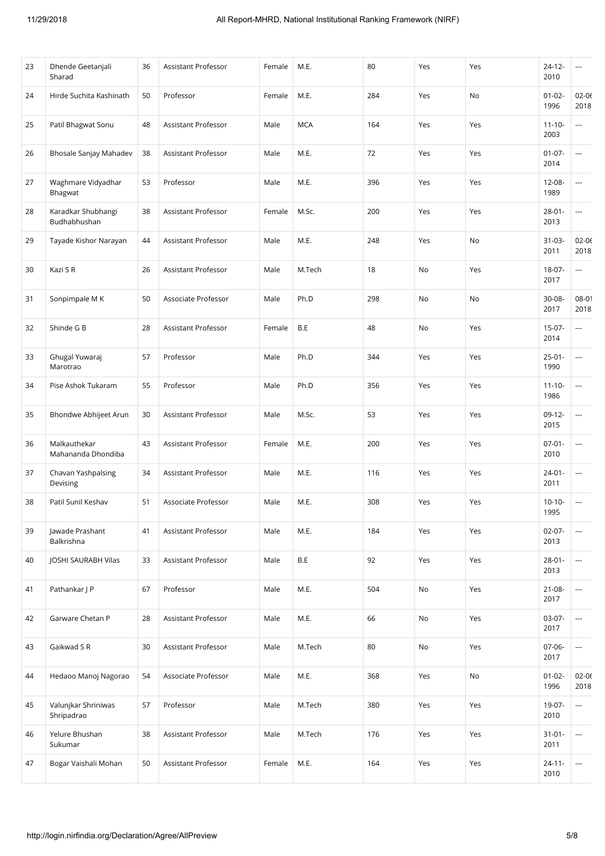| 23 | Dhende Geetanjali<br>Sharad        | 36 | Assistant Professor | Female | M.E.       | 80  | Yes | Yes | $24 - 12 -$<br>2010 | ---                      |
|----|------------------------------------|----|---------------------|--------|------------|-----|-----|-----|---------------------|--------------------------|
| 24 | Hirde Suchita Kashinath            | 50 | Professor           | Female | M.E.       | 284 | Yes | No  | $01 - 02 -$<br>1996 | $02 - 06$<br>2018        |
| 25 | Patil Bhagwat Sonu                 | 48 | Assistant Professor | Male   | <b>MCA</b> | 164 | Yes | Yes | $11 - 10 -$<br>2003 | $\cdots$                 |
| 26 | Bhosale Sanjay Mahadev             | 38 | Assistant Professor | Male   | M.E.       | 72  | Yes | Yes | $01 - 07 -$<br>2014 | ---                      |
| 27 | Waghmare Vidyadhar<br>Bhagwat      | 53 | Professor           | Male   | M.E.       | 396 | Yes | Yes | 12-08-<br>1989      | ---                      |
| 28 | Karadkar Shubhangi<br>Budhabhushan | 38 | Assistant Professor | Female | M.Sc.      | 200 | Yes | Yes | $28 - 01 -$<br>2013 | $\overline{\phantom{a}}$ |
| 29 | Tayade Kishor Narayan              | 44 | Assistant Professor | Male   | M.E.       | 248 | Yes | No  | $31-03-$<br>2011    | $02 - 06$<br>2018        |
| 30 | Kazi S R                           | 26 | Assistant Professor | Male   | M.Tech     | 18  | No  | Yes | 18-07-<br>2017      | ---                      |
| 31 | Sonpimpale M K                     | 50 | Associate Professor | Male   | Ph.D       | 298 | No  | No  | 30-08-<br>2017      | 08-01<br>2018            |
| 32 | Shinde G B                         | 28 | Assistant Professor | Female | B.E        | 48  | No  | Yes | $15-07-$<br>2014    | ---                      |
| 33 | Ghugal Yuwaraj<br>Marotrao         | 57 | Professor           | Male   | Ph.D       | 344 | Yes | Yes | $25 - 01 -$<br>1990 | ---                      |
| 34 | Pise Ashok Tukaram                 | 55 | Professor           | Male   | Ph.D       | 356 | Yes | Yes | $11 - 10 -$<br>1986 | ---                      |
| 35 | Bhondwe Abhijeet Arun              | 30 | Assistant Professor | Male   | M.Sc.      | 53  | Yes | Yes | $09-12-$<br>2015    | ---                      |
| 36 | Malkauthekar<br>Mahananda Dhondiba | 43 | Assistant Professor | Female | M.E.       | 200 | Yes | Yes | $07 - 01 -$<br>2010 | $\overline{\phantom{a}}$ |
| 37 | Chavan Yashpalsing<br>Devising     | 34 | Assistant Professor | Male   | M.E.       | 116 | Yes | Yes | $24 - 01 -$<br>2011 | ---                      |
| 38 | Patil Sunil Keshav                 | 51 | Associate Professor | Male   | M.E.       | 308 | Yes | Yes | $10-10-$<br>1995    | ---                      |
| 39 | Jawade Prashant<br>Balkrishna      | 41 | Assistant Professor | Male   | M.E.       | 184 | Yes | Yes | $02 - 07 -$<br>2013 | ---                      |
| 40 | JOSHI SAURABH Vilas                | 33 | Assistant Professor | Male   | B.E        | 92  | Yes | Yes | $28 - 01 -$<br>2013 | $\overline{\phantom{a}}$ |
| 41 | Pathankar J P                      | 67 | Professor           | Male   | M.E.       | 504 | No  | Yes | $21 - 08 -$<br>2017 | ---                      |
| 42 | Garware Chetan P                   | 28 | Assistant Professor | Male   | M.E.       | 66  | No  | Yes | 03-07-<br>2017      | ---                      |
| 43 | Gaikwad S R                        | 30 | Assistant Professor | Male   | M.Tech     | 80  | No  | Yes | 07-06-<br>2017      | $\overline{\phantom{a}}$ |
| 44 | Hedaoo Manoj Nagorao               | 54 | Associate Professor | Male   | M.E.       | 368 | Yes | No  | $01 - 02 -$<br>1996 | $02 - 06$<br>2018        |
| 45 | Valunjkar Shriniwas<br>Shripadrao  | 57 | Professor           | Male   | M.Tech     | 380 | Yes | Yes | 19-07-<br>2010      | $\cdots$                 |
| 46 | Yelure Bhushan<br>Sukumar          | 38 | Assistant Professor | Male   | M.Tech     | 176 | Yes | Yes | $31 - 01 -$<br>2011 | $\overline{\phantom{a}}$ |
| 47 | Bogar Vaishali Mohan               | 50 | Assistant Professor | Female | M.E.       | 164 | Yes | Yes | $24 - 11 -$<br>2010 | ---                      |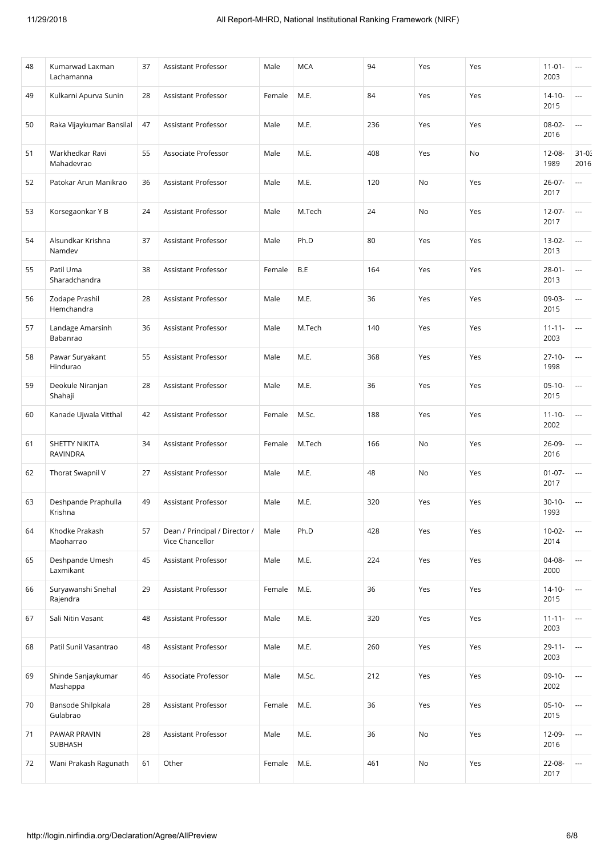| 48 | Kumarwad Laxman<br>Lachamanna           | 37 | <b>Assistant Professor</b>                       | Male   | <b>MCA</b> | 94  | Yes | Yes | $11-01-$<br>2003    | $\cdots$                 |
|----|-----------------------------------------|----|--------------------------------------------------|--------|------------|-----|-----|-----|---------------------|--------------------------|
| 49 | Kulkarni Apurva Sunin                   | 28 | Assistant Professor                              | Female | M.E.       | 84  | Yes | Yes | $14-10-$<br>2015    | ---                      |
| 50 | Raka Vijaykumar Bansilal                | 47 | Assistant Professor                              | Male   | M.E.       | 236 | Yes | Yes | 08-02-<br>2016      | ---                      |
| 51 | Warkhedkar Ravi<br>Mahadevrao           | 55 | Associate Professor                              | Male   | M.E.       | 408 | Yes | No  | $12 - 08 -$<br>1989 | $31 - 0.5$<br>2016       |
| 52 | Patokar Arun Manikrao                   | 36 | Assistant Professor                              | Male   | M.E.       | 120 | No  | Yes | $26 - 07 -$<br>2017 | ---                      |
| 53 | Korsegaonkar Y B                        | 24 | Assistant Professor                              | Male   | M.Tech     | 24  | No  | Yes | $12-07-$<br>2017    | ---                      |
| 54 | Alsundkar Krishna<br>Namdev             | 37 | Assistant Professor                              | Male   | Ph.D       | 80  | Yes | Yes | $13-02-$<br>2013    | ---                      |
| 55 | Patil Uma<br>Sharadchandra              | 38 | Assistant Professor                              | Female | B.E        | 164 | Yes | Yes | $28 - 01 -$<br>2013 | ---                      |
| 56 | Zodape Prashil<br>Hemchandra            | 28 | Assistant Professor                              | Male   | M.E.       | 36  | Yes | Yes | 09-03-<br>2015      | ---                      |
| 57 | Landage Amarsinh<br>Babanrao            | 36 | Assistant Professor                              | Male   | M.Tech     | 140 | Yes | Yes | $11 - 11 -$<br>2003 | ---                      |
| 58 | Pawar Suryakant<br>Hindurao             | 55 | Assistant Professor                              | Male   | M.E.       | 368 | Yes | Yes | $27-10-$<br>1998    | ---                      |
| 59 | Deokule Niranjan<br>Shahaji             | 28 | Assistant Professor                              | Male   | M.E.       | 36  | Yes | Yes | $05-10-$<br>2015    | ---                      |
| 60 | Kanade Ujwala Vitthal                   | 42 | Assistant Professor                              | Female | M.Sc.      | 188 | Yes | Yes | $11 - 10 -$<br>2002 | ---                      |
| 61 | <b>SHETTY NIKITA</b><br><b>RAVINDRA</b> | 34 | Assistant Professor                              | Female | M.Tech     | 166 | No  | Yes | 26-09-<br>2016      | ---                      |
| 62 | Thorat Swapnil V                        | 27 | Assistant Professor                              | Male   | M.E.       | 48  | No  | Yes | $01-07-$<br>2017    | $\overline{\phantom{a}}$ |
| 63 | Deshpande Praphulla<br>Krishna          | 49 | Assistant Professor                              | Male   | M.E.       | 320 | Yes | Yes | $30 - 10 -$<br>1993 | ---                      |
| 64 | Khodke Prakash<br>Maoharrao             | 57 | Dean / Principal / Director /<br>Vice Chancellor | Male   | Ph.D       | 428 | Yes | Yes | $10 - 02 -$<br>2014 | ---                      |
| 65 | Deshpande Umesh<br>Laxmikant            | 45 | Assistant Professor                              | Male   | M.E.       | 224 | Yes | Yes | 04-08-<br>2000      | $\overline{\phantom{a}}$ |
| 66 | Suryawanshi Snehal<br>Rajendra          | 29 | Assistant Professor                              | Female | M.E.       | 36  | Yes | Yes | $14-10-$<br>2015    | ---                      |
| 67 | Sali Nitin Vasant                       | 48 | Assistant Professor                              | Male   | M.E.       | 320 | Yes | Yes | $11 - 11 -$<br>2003 | $\overline{\phantom{a}}$ |
| 68 | Patil Sunil Vasantrao                   | 48 | Assistant Professor                              | Male   | M.E.       | 260 | Yes | Yes | $29 - 11 -$<br>2003 | $\overline{\phantom{a}}$ |
| 69 | Shinde Sanjaykumar<br>Mashappa          | 46 | Associate Professor                              | Male   | M.Sc.      | 212 | Yes | Yes | $09-10-$<br>2002    | ---                      |
| 70 | Bansode Shilpkala<br>Gulabrao           | 28 | Assistant Professor                              | Female | M.E.       | 36  | Yes | Yes | $05-10-$<br>2015    | $\overline{\phantom{a}}$ |
| 71 | PAWAR PRAVIN<br>SUBHASH                 | 28 | Assistant Professor                              | Male   | M.E.       | 36  | No  | Yes | 12-09-<br>2016      | $\overline{\phantom{a}}$ |
| 72 | Wani Prakash Ragunath                   | 61 | Other                                            | Female | M.E.       | 461 | No  | Yes | 22-08-<br>2017      | $\overline{\phantom{a}}$ |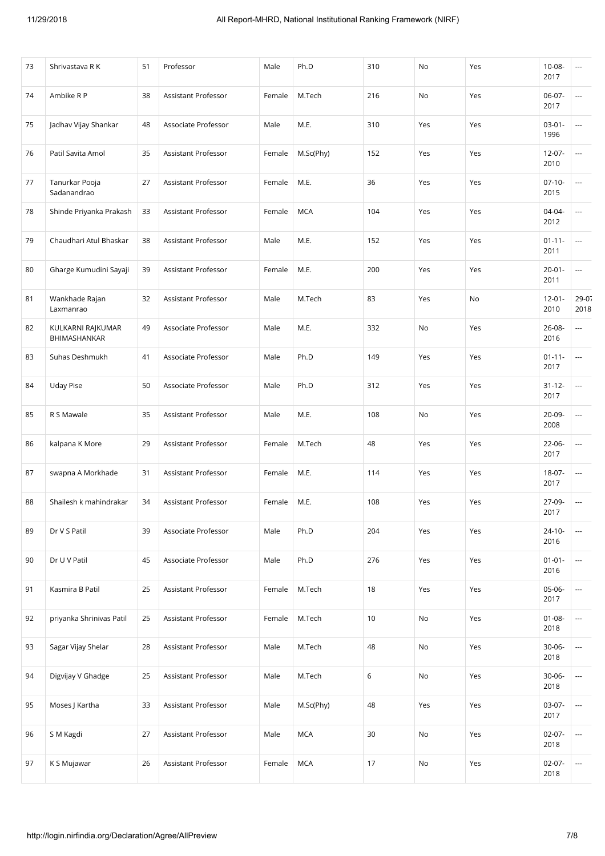| 73 | Shrivastava R K                   | 51 | Professor                  | Male   | Ph.D       | 310    | No  | Yes | $10 - 08 -$<br>2017 | ---                      |
|----|-----------------------------------|----|----------------------------|--------|------------|--------|-----|-----|---------------------|--------------------------|
| 74 | Ambike R P                        | 38 | Assistant Professor        | Female | M.Tech     | 216    | No  | Yes | $06-07-$<br>2017    | ---                      |
| 75 | Jadhav Vijay Shankar              | 48 | Associate Professor        | Male   | M.E.       | 310    | Yes | Yes | $03 - 01 -$<br>1996 | ---                      |
| 76 | Patil Savita Amol                 | 35 | Assistant Professor        | Female | M.Sc(Phy)  | 152    | Yes | Yes | $12 - 07 -$<br>2010 | ---                      |
| 77 | Tanurkar Pooja<br>Sadanandrao     | 27 | <b>Assistant Professor</b> | Female | M.E.       | 36     | Yes | Yes | $07-10-$<br>2015    | ---                      |
| 78 | Shinde Priyanka Prakash           | 33 | Assistant Professor        | Female | <b>MCA</b> | 104    | Yes | Yes | $04 - 04 -$<br>2012 | ---                      |
| 79 | Chaudhari Atul Bhaskar            | 38 | Assistant Professor        | Male   | M.E.       | 152    | Yes | Yes | $01 - 11 -$<br>2011 | ---                      |
| 80 | Gharge Kumudini Sayaji            | 39 | Assistant Professor        | Female | M.E.       | 200    | Yes | Yes | $20 - 01 -$<br>2011 | ---                      |
| 81 | Wankhade Rajan<br>Laxmanrao       | 32 | Assistant Professor        | Male   | M.Tech     | 83     | Yes | No  | $12 - 01 -$<br>2010 | $29 - 07$<br>2018        |
| 82 | KULKARNI RAJKUMAR<br>BHIMASHANKAR | 49 | Associate Professor        | Male   | M.E.       | 332    | No  | Yes | 26-08-<br>2016      | ---                      |
| 83 | Suhas Deshmukh                    | 41 | Associate Professor        | Male   | Ph.D       | 149    | Yes | Yes | $01 - 11 -$<br>2017 | ---                      |
| 84 | <b>Uday Pise</b>                  | 50 | Associate Professor        | Male   | Ph.D       | 312    | Yes | Yes | $31 - 12 -$<br>2017 | ---                      |
| 85 | R S Mawale                        | 35 | Assistant Professor        | Male   | M.E.       | 108    | No  | Yes | $20 - 09 -$<br>2008 | ---                      |
| 86 | kalpana K More                    | 29 | Assistant Professor        | Female | M.Tech     | 48     | Yes | Yes | 22-06-<br>2017      | ---                      |
| 87 | swapna A Morkhade                 | 31 | Assistant Professor        | Female | M.E.       | 114    | Yes | Yes | 18-07-<br>2017      | $\overline{\phantom{a}}$ |
| 88 | Shailesh k mahindrakar            | 34 | Assistant Professor        | Female | M.E.       | 108    | Yes | Yes | 27-09-<br>2017      | ---                      |
| 89 | Dr V S Patil                      | 39 | Associate Professor        | Male   | Ph.D       | 204    | Yes | Yes | $24 - 10 -$<br>2016 | ---                      |
| 90 | Dr U V Patil                      | 45 | Associate Professor        | Male   | Ph.D       | 276    | Yes | Yes | $01 - 01 -$<br>2016 | $\overline{\phantom{a}}$ |
| 91 | Kasmira B Patil                   | 25 | Assistant Professor        | Female | M.Tech     | 18     | Yes | Yes | 05-06-<br>2017      | ---                      |
| 92 | priyanka Shrinivas Patil          | 25 | Assistant Professor        | Female | M.Tech     | 10     | No  | Yes | $01 - 08 -$<br>2018 | $\overline{\phantom{a}}$ |
| 93 | Sagar Vijay Shelar                | 28 | Assistant Professor        | Male   | M.Tech     | 48     | No  | Yes | $30 - 06 -$<br>2018 | $\overline{\phantom{a}}$ |
| 94 | Digvijay V Ghadge                 | 25 | Assistant Professor        | Male   | M.Tech     | 6      | No  | Yes | $30 - 06 -$<br>2018 | ---                      |
| 95 | Moses J Kartha                    | 33 | Assistant Professor        | Male   | M.Sc(Phy)  | 48     | Yes | Yes | 03-07-<br>2017      | $\overline{\phantom{a}}$ |
| 96 | S M Kagdi                         | 27 | Assistant Professor        | Male   | <b>MCA</b> | 30     | No  | Yes | $02 - 07 -$<br>2018 | $\overline{\phantom{a}}$ |
| 97 | K S Mujawar                       | 26 | Assistant Professor        | Female | <b>MCA</b> | $17\,$ | No  | Yes | $02 - 07 -$<br>2018 | $\overline{\phantom{a}}$ |